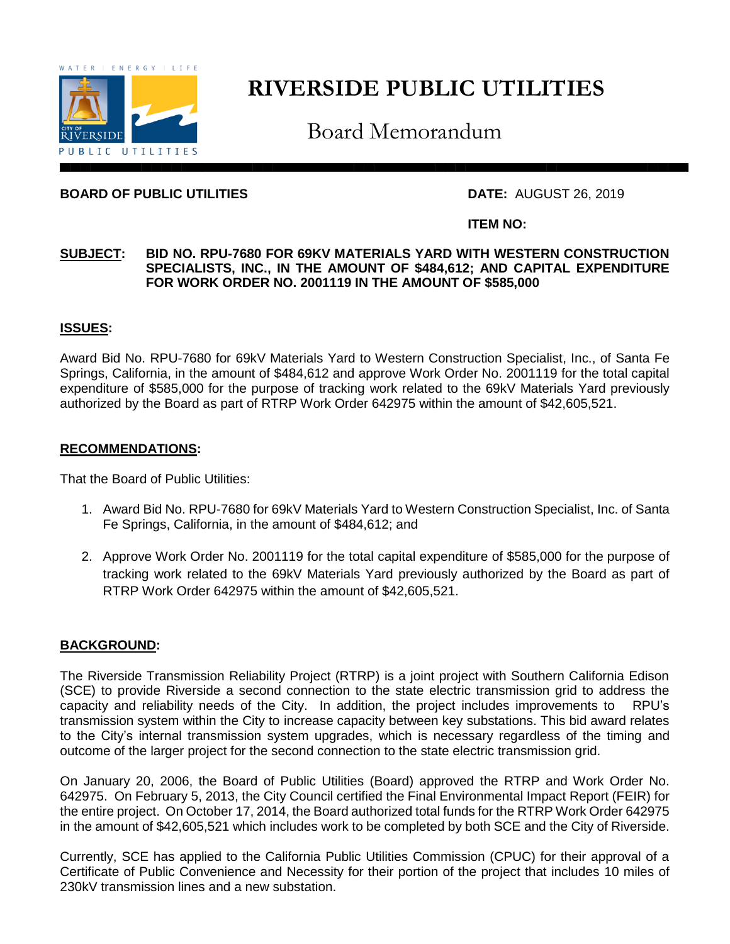

# **RIVERSIDE PUBLIC UTILITIES**

Board Memorandum

#### **BOARD OF PUBLIC UTILITIES DATE:** AUGUST 26, 2019

#### **ITEM NO:**

#### **SUBJECT: BID NO. RPU-7680 FOR 69KV MATERIALS YARD WITH WESTERN CONSTRUCTION SPECIALISTS, INC., IN THE AMOUNT OF \$484,612; AND CAPITAL EXPENDITURE FOR WORK ORDER NO. 2001119 IN THE AMOUNT OF \$585,000**

#### **ISSUES:**

Award Bid No. RPU-7680 for 69kV Materials Yard to Western Construction Specialist, Inc., of Santa Fe Springs, California, in the amount of \$484,612 and approve Work Order No. 2001119 for the total capital expenditure of \$585,000 for the purpose of tracking work related to the 69kV Materials Yard previously authorized by the Board as part of RTRP Work Order 642975 within the amount of \$42,605,521.

#### **RECOMMENDATIONS:**

That the Board of Public Utilities:

- 1. Award Bid No. RPU-7680 for 69kV Materials Yard to Western Construction Specialist, Inc. of Santa Fe Springs, California, in the amount of \$484,612; and
- 2. Approve Work Order No. 2001119 for the total capital expenditure of \$585,000 for the purpose of tracking work related to the 69kV Materials Yard previously authorized by the Board as part of RTRP Work Order 642975 within the amount of \$42,605,521.

### **BACKGROUND:**

The Riverside Transmission Reliability Project (RTRP) is a joint project with Southern California Edison (SCE) to provide Riverside a second connection to the state electric transmission grid to address the capacity and reliability needs of the City. In addition, the project includes improvements to RPU's transmission system within the City to increase capacity between key substations. This bid award relates to the City's internal transmission system upgrades, which is necessary regardless of the timing and outcome of the larger project for the second connection to the state electric transmission grid.

On January 20, 2006, the Board of Public Utilities (Board) approved the RTRP and Work Order No. 642975. On February 5, 2013, the City Council certified the Final Environmental Impact Report (FEIR) for the entire project. On October 17, 2014, the Board authorized total funds for the RTRP Work Order 642975 in the amount of \$42,605,521 which includes work to be completed by both SCE and the City of Riverside.

Currently, SCE has applied to the California Public Utilities Commission (CPUC) for their approval of a Certificate of Public Convenience and Necessity for their portion of the project that includes 10 miles of 230kV transmission lines and a new substation.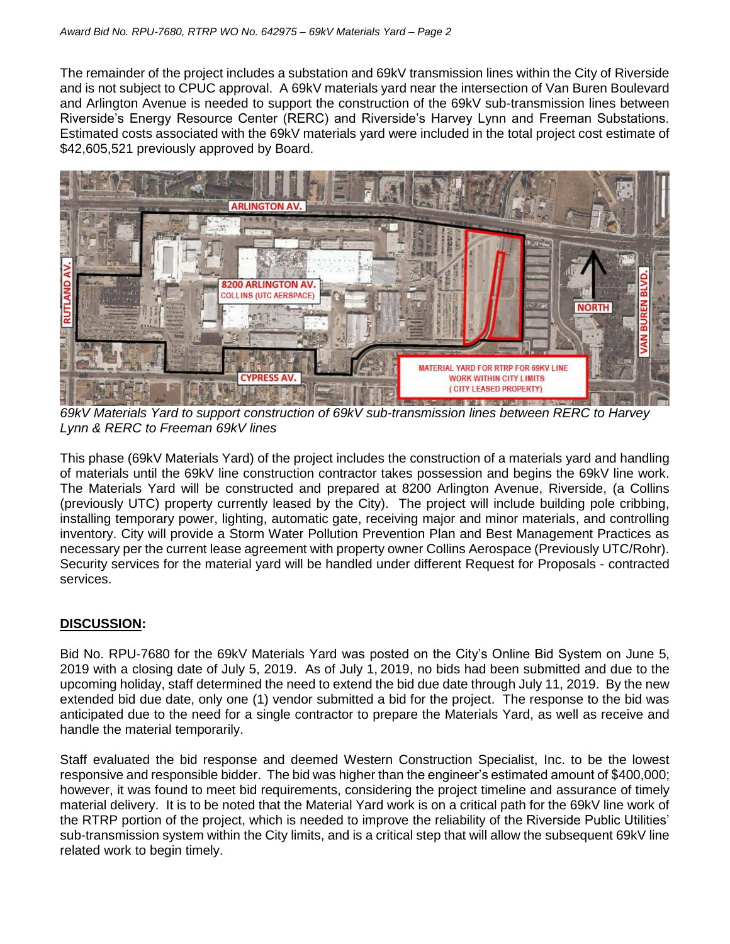The remainder of the project includes a substation and 69kV transmission lines within the City of Riverside and is not subject to CPUC approval. A 69kV materials yard near the intersection of Van Buren Boulevard and Arlington Avenue is needed to support the construction of the 69kV sub-transmission lines between Riverside's Energy Resource Center (RERC) and Riverside's Harvey Lynn and Freeman Substations. Estimated costs associated with the 69kV materials yard were included in the total project cost estimate of \$42,605,521 previously approved by Board.



*69kV Materials Yard to support construction of 69kV sub-transmission lines between RERC to Harvey Lynn & RERC to Freeman 69kV lines*

This phase (69kV Materials Yard) of the project includes the construction of a materials yard and handling of materials until the 69kV line construction contractor takes possession and begins the 69kV line work. The Materials Yard will be constructed and prepared at 8200 Arlington Avenue, Riverside, (a Collins (previously UTC) property currently leased by the City). The project will include building pole cribbing, installing temporary power, lighting, automatic gate, receiving major and minor materials, and controlling inventory. City will provide a Storm Water Pollution Prevention Plan and Best Management Practices as necessary per the current lease agreement with property owner Collins Aerospace (Previously UTC/Rohr). Security services for the material yard will be handled under different Request for Proposals - contracted services.

## **DISCUSSION:**

Bid No. RPU-7680 for the 69kV Materials Yard was posted on the City's Online Bid System on June 5, 2019 with a closing date of July 5, 2019. As of July 1, 2019, no bids had been submitted and due to the upcoming holiday, staff determined the need to extend the bid due date through July 11, 2019. By the new extended bid due date, only one (1) vendor submitted a bid for the project. The response to the bid was anticipated due to the need for a single contractor to prepare the Materials Yard, as well as receive and handle the material temporarily.

Staff evaluated the bid response and deemed Western Construction Specialist, Inc. to be the lowest responsive and responsible bidder. The bid was higher than the engineer's estimated amount of \$400,000; however, it was found to meet bid requirements, considering the project timeline and assurance of timely material delivery. It is to be noted that the Material Yard work is on a critical path for the 69kV line work of the RTRP portion of the project, which is needed to improve the reliability of the Riverside Public Utilities' sub-transmission system within the City limits, and is a critical step that will allow the subsequent 69kV line related work to begin timely.